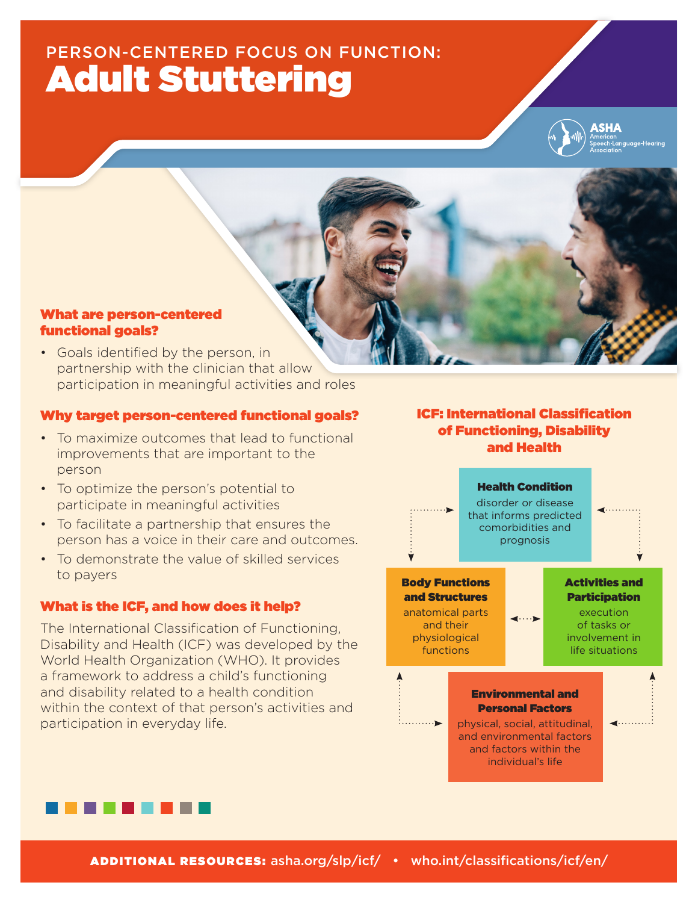# PERSON-CENTERED FOCUS ON FUNCTION: Adult Stuttering



#### What are person-centered functional goals?

• Goals identified by the person, in partnership with the clinician that allow participation in meaningful activities and roles

#### Why target person-centered functional goals?

- To maximize outcomes that lead to functional improvements that are important to the person
- To optimize the person's potential to participate in meaningful activities
- To facilitate a partnership that ensures the person has a voice in their care and outcomes.
- To demonstrate the value of skilled services to payers

### What is the ICF, and how does it help?

The International Classification of Functioning, Disability and Health (ICF) was developed by the World Health Organization (WHO). It provides a framework to address a child's functioning and disability related to a health condition within the context of that person's activities and participation in everyday life.

## ICF: International Classification of Functioning, Disability and Health